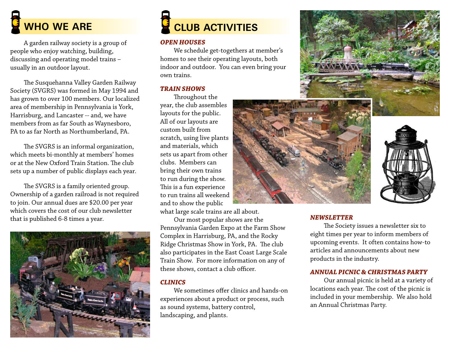# **WHO WE ARE**

A garden railway society is a group of people who enjoy watching, building, discussing and operating model trains – usually in an outdoor layout.

The Susquehanna Valley Garden Railway Society (SVGRS) was formed in May 1994 and has grown to over 100 members. Our localized area of membership in Pennsylvania is York, Harrisburg, and Lancaster -- and, we have members from as far South as Waynesboro, PA to as far North as Northumberland, PA.

The SVGRS is an informal organization, which meets bi-monthly at members' homes or at the New Oxford Train Station. The club sets up a number of public displays each year.

The SVGRS is a family oriented group. Ownership of a garden railroad is not required to join. Our annual dues are \$20.00 per year which covers the cost of our club newsletter that is published 6-8 times a year. *NEWSLETTER*



## **Club Activities**

### *OPEN HOUSES*

We schedule get-togethers at member's homes to see their operating layouts, both indoor and outdoor. You can even bring your own trains.

### *TRAIN SHOWS*

Throughout the year, the club assembles layouts for the public. All of our layouts are custom built from scratch, using live plants and materials, which sets us apart from other clubs. Members can bring their own trains to run during the show. This is a fun experience to run trains all weekend and to show the public

what large scale trains are all about.

Our most popular shows are the Pennsylvania Garden Expo at the Farm Show Complex in Harrisburg, PA, and the Rocky Ridge Christmas Show in York, PA. The club also participates in the East Coast Large Scale Train Show. For more information on any of these shows, contact a club officer.

### *CLINICS*

We sometimes offer clinics and hands-on experiences about a product or process, such as sound systems, battery control, landscaping, and plants.







The Society issues a newsletter six to eight times per year to inform members of upcoming events. It often contains how-to articles and announcements about new products in the industry.

### *ANNUAL PICNIC & CHRISTMAS PARTY*

Our annual picnic is held at a variety of locations each year. The cost of the picnic is included in your membership. We also hold an Annual Christmas Party.